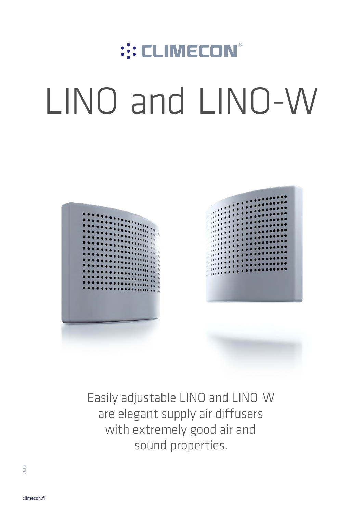# ::: CLIMECON® LINO and LINO-W



Easily adjustable LINO and LINO-W are elegant supply air diffusers with extremely good air and sound properties.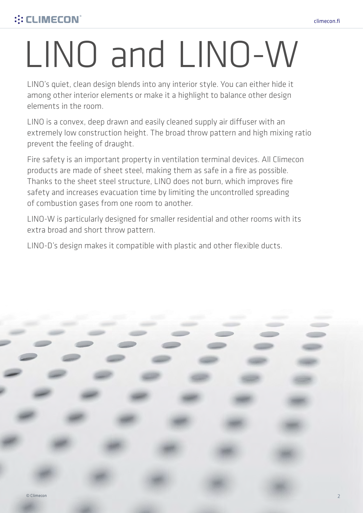## LINO and LINO-W

LINO's quiet, clean design blends into any interior style. You can either hide it among other interior elements or make it a highlight to balance other design elements in the room.

LINO is a convex, deep drawn and easily cleaned supply air diffuser with an extremely low construction height. The broad throw pattern and high mixing ratio prevent the feeling of draught.

Fire safety is an important property in ventilation terminal devices. All Climecon products are made of sheet steel, making them as safe in a fire as possible. Thanks to the sheet steel structure, LINO does not burn, which improves fire safety and increases evacuation time by limiting the uncontrolled spreading of combustion gases from one room to another.

LINO-W is particularly designed for smaller residential and other rooms with its extra broad and short throw pattern.

LINO-D's design makes it compatible with plastic and other flexible ducts.

climecon.fi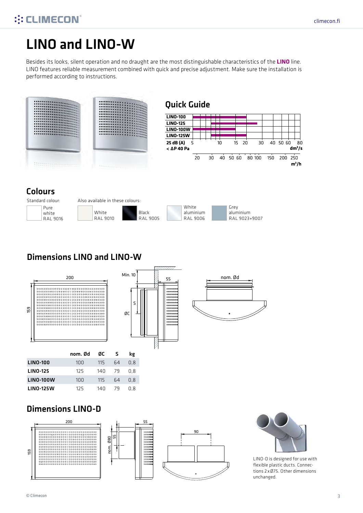## ::: CLIMECON®

## LINO and LINO-W

Besides its looks, silent operation and no draught are the most distinguishable characteristics of the **LINO** line. LINO features reliable measurement combined with quick and precise adjustment. Make sure the installation is performed according to instructions.





## Dimensions LINO and LINO-W



## Dimensions LINO-D





LINO-D is designed for use with flexible plastic ducts. Connections 2 xØ75. Other dimensions unchanged.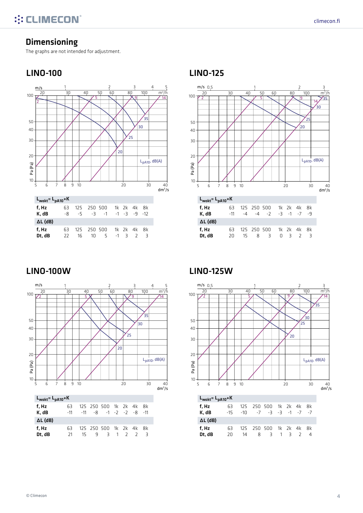## Dimensioning

The graphs are not intended for adjustment.

## LINO-100 LINO-125





## LINO-100W LINO-125W